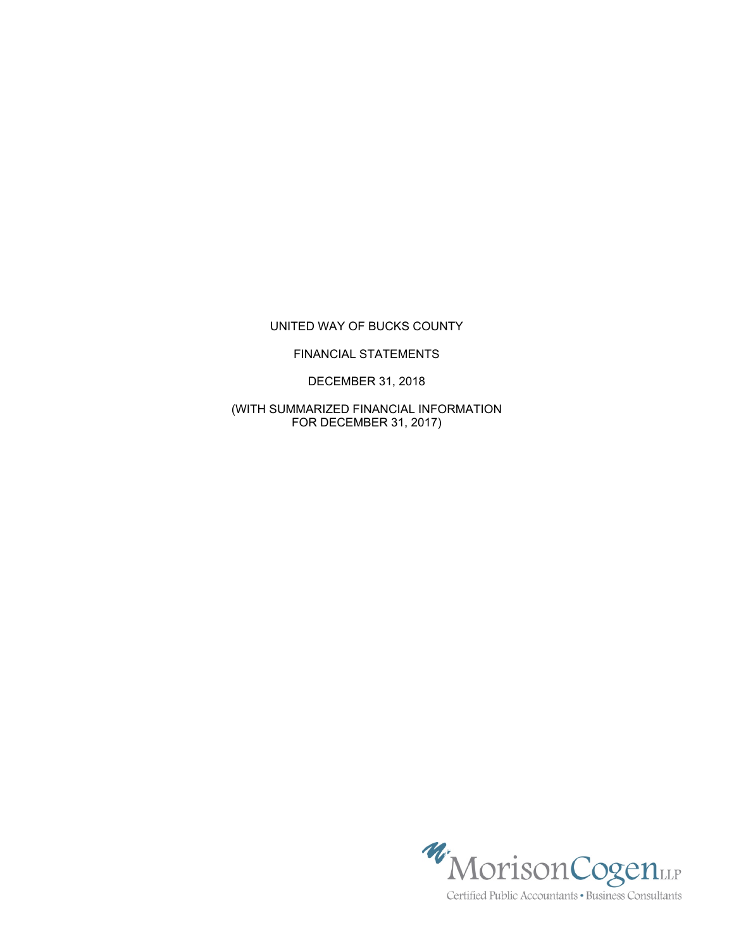# UNITED WAY OF BUCKS COUNTY

### FINANCIAL STATEMENTS

DECEMBER 31, 2018

(WITH SUMMARIZED FINANCIAL INFORMATION FOR DECEMBER 31, 2017)



Certified Public Accountants · Business Consultants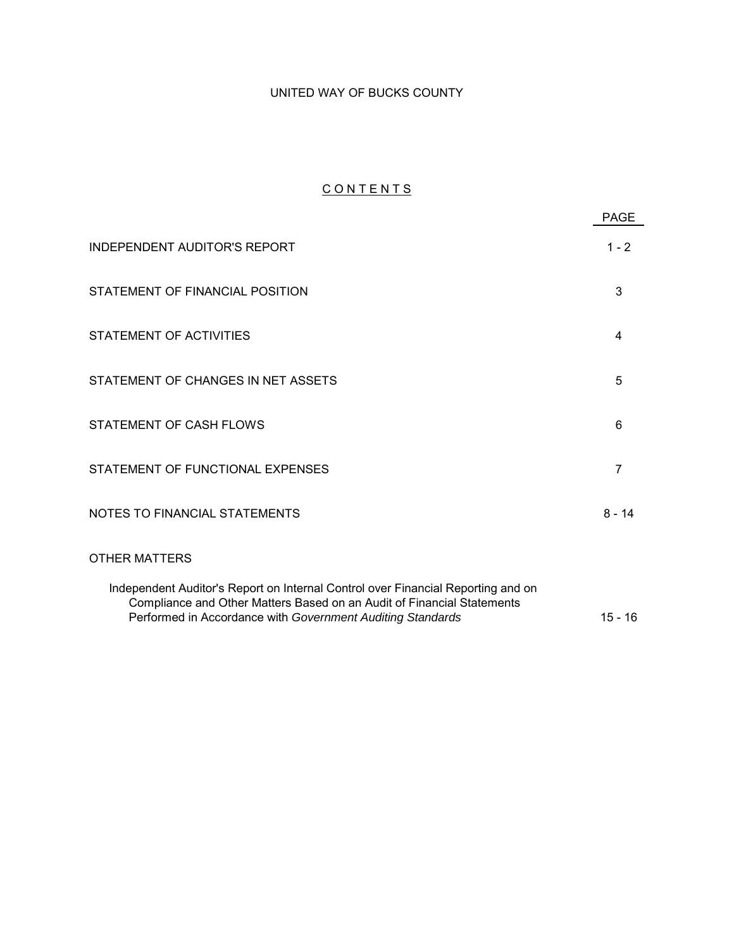# UNITED WAY OF BUCKS COUNTY

# CONTENTS

|                                                                                                                                                                                                                          | <b>PAGE</b>    |
|--------------------------------------------------------------------------------------------------------------------------------------------------------------------------------------------------------------------------|----------------|
| <b>INDEPENDENT AUDITOR'S REPORT</b>                                                                                                                                                                                      | $1 - 2$        |
| STATEMENT OF FINANCIAL POSITION                                                                                                                                                                                          | 3              |
| STATEMENT OF ACTIVITIES                                                                                                                                                                                                  | 4              |
| STATEMENT OF CHANGES IN NET ASSETS                                                                                                                                                                                       | 5              |
| STATEMENT OF CASH FLOWS                                                                                                                                                                                                  | 6              |
| STATEMENT OF FUNCTIONAL EXPENSES                                                                                                                                                                                         | $\overline{7}$ |
| NOTES TO FINANCIAL STATEMENTS                                                                                                                                                                                            | $8 - 14$       |
| <b>OTHER MATTERS</b>                                                                                                                                                                                                     |                |
| Independent Auditor's Report on Internal Control over Financial Reporting and on<br>Compliance and Other Matters Based on an Audit of Financial Statements<br>Performed in Accordance with Government Auditing Standards | $15 - 16$      |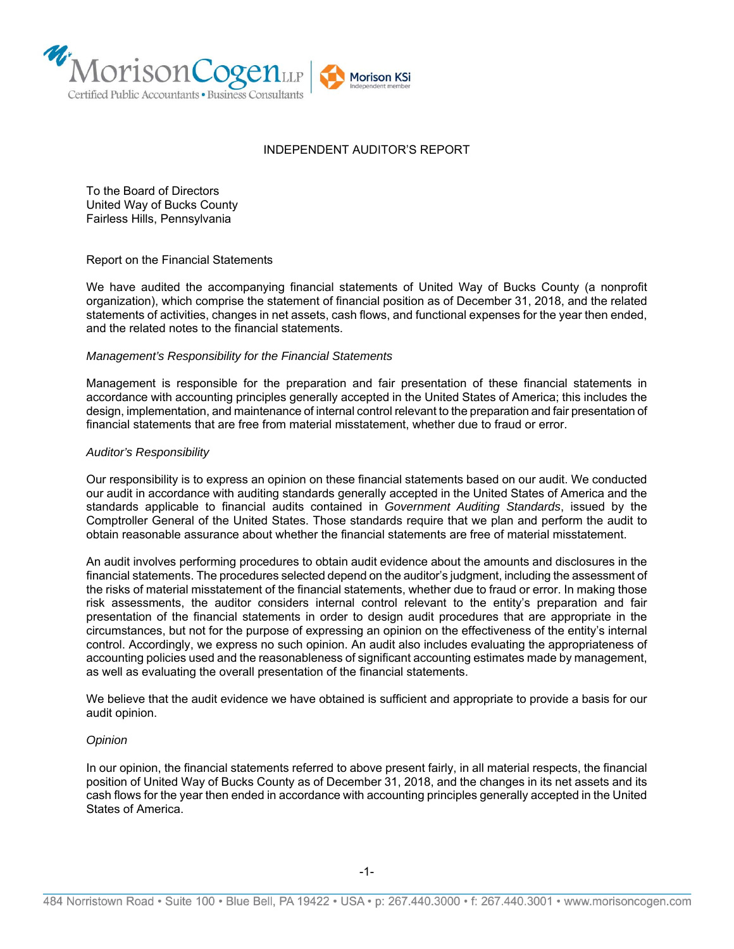

#### INDEPENDENT AUDITOR'S REPORT

To the Board of Directors United Way of Bucks County Fairless Hills, Pennsylvania

Report on the Financial Statements

We have audited the accompanying financial statements of United Way of Bucks County (a nonprofit organization), which comprise the statement of financial position as of December 31, 2018, and the related statements of activities, changes in net assets, cash flows, and functional expenses for the year then ended, and the related notes to the financial statements.

#### *Management's Responsibility for the Financial Statements*

Management is responsible for the preparation and fair presentation of these financial statements in accordance with accounting principles generally accepted in the United States of America; this includes the design, implementation, and maintenance of internal control relevant to the preparation and fair presentation of financial statements that are free from material misstatement, whether due to fraud or error.

#### *Auditor's Responsibility*

Our responsibility is to express an opinion on these financial statements based on our audit. We conducted our audit in accordance with auditing standards generally accepted in the United States of America and the standards applicable to financial audits contained in *Government Auditing Standards*, issued by the Comptroller General of the United States. Those standards require that we plan and perform the audit to obtain reasonable assurance about whether the financial statements are free of material misstatement.

An audit involves performing procedures to obtain audit evidence about the amounts and disclosures in the financial statements. The procedures selected depend on the auditor's judgment, including the assessment of the risks of material misstatement of the financial statements, whether due to fraud or error. In making those risk assessments, the auditor considers internal control relevant to the entity's preparation and fair presentation of the financial statements in order to design audit procedures that are appropriate in the circumstances, but not for the purpose of expressing an opinion on the effectiveness of the entity's internal control. Accordingly, we express no such opinion. An audit also includes evaluating the appropriateness of accounting policies used and the reasonableness of significant accounting estimates made by management, as well as evaluating the overall presentation of the financial statements.

We believe that the audit evidence we have obtained is sufficient and appropriate to provide a basis for our audit opinion.

#### *Opinion*

In our opinion, the financial statements referred to above present fairly, in all material respects, the financial position of United Way of Bucks County as of December 31, 2018, and the changes in its net assets and its cash flows for the year then ended in accordance with accounting principles generally accepted in the United States of America.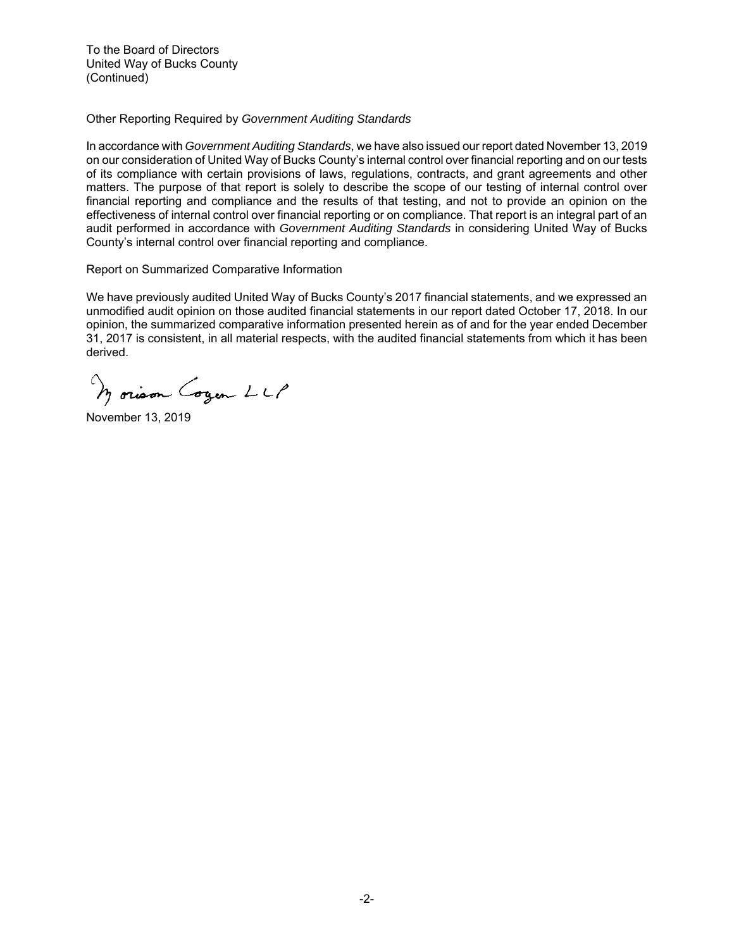To the Board of Directors United Way of Bucks County (Continued)

Other Reporting Required by *Government Auditing Standards* 

In accordance with *Government Auditing Standards*, we have also issued our report dated November 13, 2019 on our consideration of United Way of Bucks County's internal control over financial reporting and on our tests of its compliance with certain provisions of laws, regulations, contracts, and grant agreements and other matters. The purpose of that report is solely to describe the scope of our testing of internal control over financial reporting and compliance and the results of that testing, and not to provide an opinion on the effectiveness of internal control over financial reporting or on compliance. That report is an integral part of an audit performed in accordance with *Government Auditing Standards* in considering United Way of Bucks County's internal control over financial reporting and compliance.

### Report on Summarized Comparative Information

We have previously audited United Way of Bucks County's 2017 financial statements, and we expressed an unmodified audit opinion on those audited financial statements in our report dated October 17, 2018. In our opinion, the summarized comparative information presented herein as of and for the year ended December 31, 2017 is consistent, in all material respects, with the audited financial statements from which it has been derived.

Morison Cogen LLP

November 13, 2019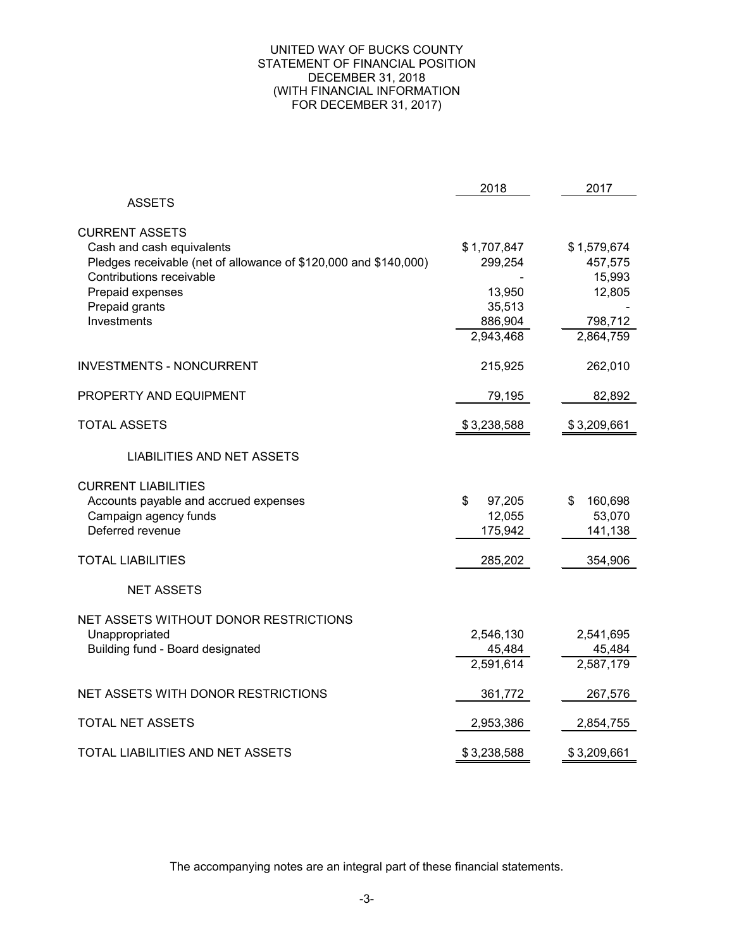#### UNITED WAY OF BUCKS COUNTY STATEMENT OF FINANCIAL POSITION DECEMBER 31, 2018 (WITH FINANCIAL INFORMATION FOR DECEMBER 31, 2017)

|                                                                  | 2018         | 2017          |
|------------------------------------------------------------------|--------------|---------------|
| <b>ASSETS</b>                                                    |              |               |
| <b>CURRENT ASSETS</b>                                            |              |               |
| Cash and cash equivalents                                        | \$1,707,847  | \$1,579,674   |
| Pledges receivable (net of allowance of \$120,000 and \$140,000) | 299,254      | 457,575       |
| Contributions receivable                                         |              | 15,993        |
| Prepaid expenses                                                 | 13,950       | 12,805        |
| Prepaid grants                                                   | 35,513       |               |
| Investments                                                      | 886,904      | 798,712       |
|                                                                  | 2,943,468    | 2,864,759     |
| <b>INVESTMENTS - NONCURRENT</b>                                  | 215,925      | 262,010       |
| PROPERTY AND EQUIPMENT                                           | 79,195       | 82,892        |
|                                                                  |              |               |
| <b>TOTAL ASSETS</b>                                              | \$3,238,588  | \$3,209,661   |
| LIABILITIES AND NET ASSETS                                       |              |               |
| <b>CURRENT LIABILITIES</b>                                       |              |               |
| Accounts payable and accrued expenses                            | \$<br>97,205 | 160,698<br>\$ |
| Campaign agency funds                                            | 12,055       | 53,070        |
| Deferred revenue                                                 | 175,942      | 141,138       |
| <b>TOTAL LIABILITIES</b>                                         | 285,202      | 354,906       |
| <b>NET ASSETS</b>                                                |              |               |
| NET ASSETS WITHOUT DONOR RESTRICTIONS                            |              |               |
| Unappropriated                                                   | 2,546,130    | 2,541,695     |
| Building fund - Board designated                                 | 45,484       | 45,484        |
|                                                                  | 2,591,614    | 2,587,179     |
| NET ASSETS WITH DONOR RESTRICTIONS                               |              |               |
|                                                                  | 361,772      | 267,576       |
| <b>TOTAL NET ASSETS</b>                                          | 2,953,386    | 2,854,755     |
| TOTAL LIABILITIES AND NET ASSETS                                 | \$3,238,588  | \$3,209,661   |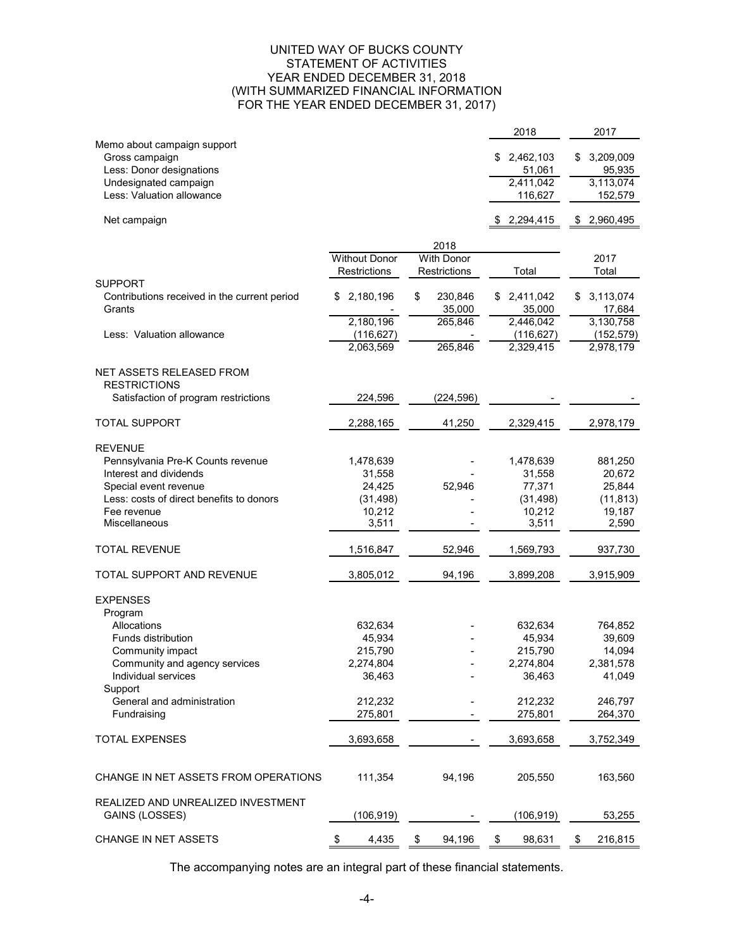#### UNITED WAY OF BUCKS COUNTY STATEMENT OF ACTIVITIES YEAR ENDED DECEMBER 31, 2018 (WITH SUMMARIZED FINANCIAL INFORMATION FOR THE YEAR ENDED DECEMBER 31, 2017)

|                                              |                      |                   | 2018            | 2017            |
|----------------------------------------------|----------------------|-------------------|-----------------|-----------------|
| Memo about campaign support                  |                      |                   |                 |                 |
| Gross campaign                               |                      |                   | 2,462,103<br>\$ | 3,209,009<br>\$ |
| Less: Donor designations                     |                      |                   | 51,061          | 95,935          |
| Undesignated campaign                        |                      |                   | 2,411,042       | 3,113,074       |
| Less: Valuation allowance                    |                      |                   | 116,627         | 152,579         |
|                                              |                      |                   |                 |                 |
| Net campaign                                 |                      |                   | 2,294,415       | 2,960,495<br>\$ |
|                                              |                      | 2018              |                 |                 |
|                                              | <b>Without Donor</b> | <b>With Donor</b> |                 | 2017            |
|                                              | Restrictions         | Restrictions      | Total           | Total           |
| <b>SUPPORT</b>                               |                      |                   |                 |                 |
| Contributions received in the current period | 2,180,196<br>\$.     | \$<br>230,846     | 2,411,042<br>\$ | 3,113,074<br>S  |
| Grants                                       |                      | 35,000            | 35,000          | 17,684          |
|                                              | 2,180,196            | 265,846           | 2,446,042       | 3,130,758       |
| Less: Valuation allowance                    | (116, 627)           |                   | (116, 627)      | (152, 579)      |
|                                              | 2,063,569            | 265,846           | 2,329,415       | 2,978,179       |
|                                              |                      |                   |                 |                 |
| NET ASSETS RELEASED FROM                     |                      |                   |                 |                 |
| <b>RESTRICTIONS</b>                          |                      |                   |                 |                 |
| Satisfaction of program restrictions         | 224,596              | (224, 596)        |                 |                 |
| <b>TOTAL SUPPORT</b>                         | 2,288,165            | 41,250            | 2,329,415       | 2,978,179       |
|                                              |                      |                   |                 |                 |
| <b>REVENUE</b>                               |                      |                   |                 |                 |
| Pennsylvania Pre-K Counts revenue            | 1,478,639            |                   | 1,478,639       | 881,250         |
| Interest and dividends                       | 31,558               |                   | 31,558          | 20,672          |
| Special event revenue                        | 24,425               | 52,946            | 77,371          | 25,844          |
| Less: costs of direct benefits to donors     | (31, 498)            |                   | (31, 498)       | (11, 813)       |
| Fee revenue                                  | 10,212               |                   | 10,212          | 19,187          |
| Miscellaneous                                | 3,511                |                   | 3,511           | 2,590           |
|                                              |                      |                   |                 |                 |
| <b>TOTAL REVENUE</b>                         | 1,516,847            | 52,946            | 1,569,793       | 937,730         |
| TOTAL SUPPORT AND REVENUE                    | 3,805,012            | 94,196            | 3,899,208       | 3,915,909       |
| <b>EXPENSES</b>                              |                      |                   |                 |                 |
|                                              |                      |                   |                 |                 |
| Program<br>Allocations                       |                      |                   | 632,634         |                 |
| Funds distribution                           | 632,634              |                   |                 | 764,852         |
|                                              | 45,934               |                   | 45,934          | 39,609          |
| Community impact                             | 215,790              |                   | 215,790         | 14,094          |
| Community and agency services                | 2,274,804            |                   | 2,274,804       | 2,381,578       |
| Individual services                          | 36,463               |                   | 36,463          | 41,049          |
| Support                                      |                      |                   |                 |                 |
| General and administration                   | 212,232              |                   | 212,232         | 246,797         |
| Fundraising                                  | 275,801              |                   | 275,801         | 264,370         |
| <b>TOTAL EXPENSES</b>                        | 3,693,658            |                   | 3,693,658       | 3,752,349       |
|                                              |                      |                   |                 |                 |
| CHANGE IN NET ASSETS FROM OPERATIONS         | 111,354              | 94,196            | 205,550         | 163,560         |
|                                              |                      |                   |                 |                 |
| REALIZED AND UNREALIZED INVESTMENT           |                      |                   |                 |                 |
| GAINS (LOSSES)                               | (106, 919)           |                   | (106, 919)      | 53,255          |
| CHANGE IN NET ASSETS                         | 4,435<br>\$          | 94,196<br>\$      | 98,631<br>\$    | 216,815<br>\$   |
|                                              |                      |                   |                 |                 |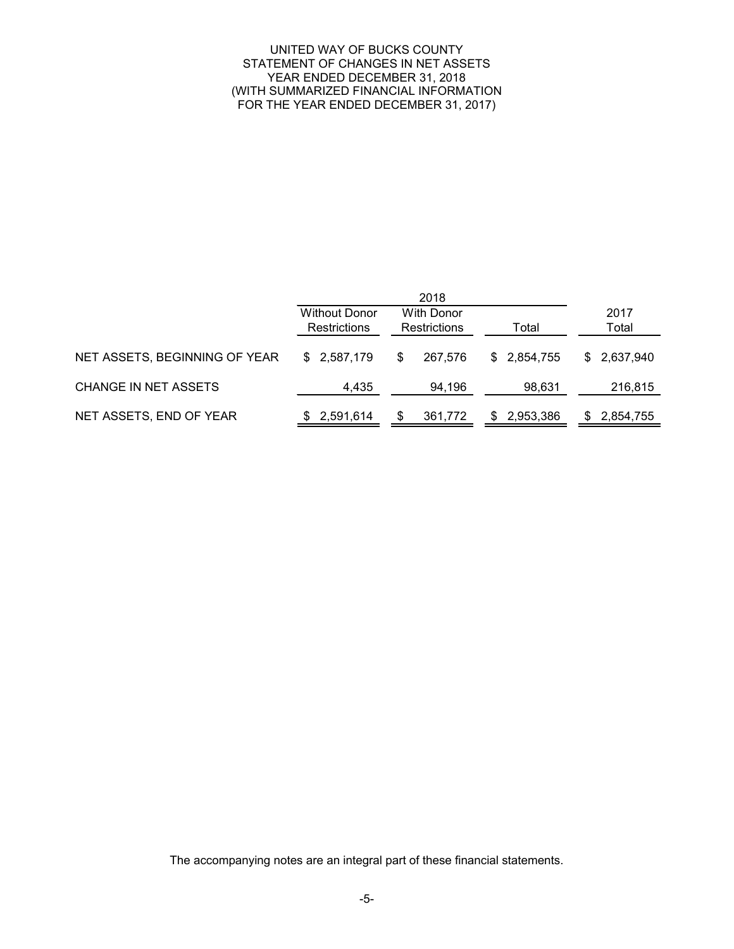#### UNITED WAY OF BUCKS COUNTY STATEMENT OF CHANGES IN NET ASSETS YEAR ENDED DECEMBER 31, 2018 (WITH SUMMARIZED FINANCIAL INFORMATION FOR THE YEAR ENDED DECEMBER 31, 2017)

|                               |                      | 2018                |                |             |
|-------------------------------|----------------------|---------------------|----------------|-------------|
|                               | <b>Without Donor</b> | <b>With Donor</b>   |                | 2017        |
|                               | Restrictions         | <b>Restrictions</b> | Total          | Total       |
| NET ASSETS, BEGINNING OF YEAR | \$2,587,179          | 267.576<br>S        | \$2,854,755    | \$2,637,940 |
| CHANGE IN NET ASSETS          | 4,435                | 94,196              | 98,631         | 216,815     |
| NET ASSETS, END OF YEAR       | \$2,591,614          | 361,772             | 2,953,386<br>S | 2,854,755   |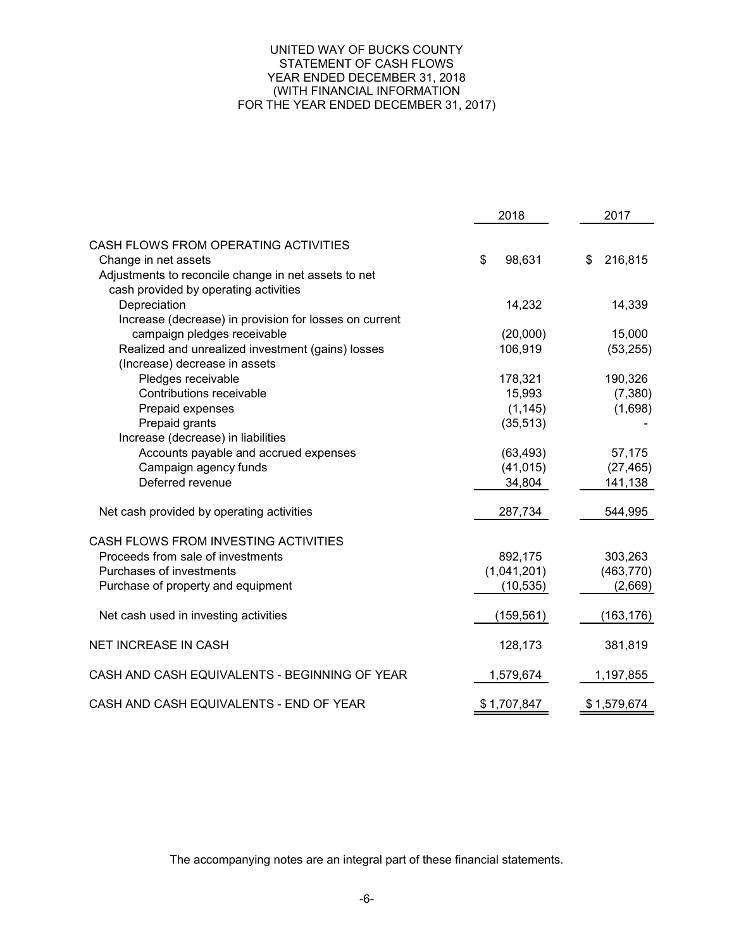#### UNITED WAY OF BUCKS COUNTY STATEMENT OF CASH FLOWS YEAR ENDED DECEMBER 31, 2018 (WITH FINANCIAL INFORMATION FOR THE YEAR ENDED DECEMBER 31, 2017)

|                                                        | 2018         | 2017          |
|--------------------------------------------------------|--------------|---------------|
| CASH FLOWS FROM OPERATING ACTIVITIES                   |              |               |
| Change in net assets                                   | \$<br>98,631 | \$<br>216,815 |
| Adjustments to reconcile change in net assets to net   |              |               |
| cash provided by operating activities                  |              |               |
| Depreciation                                           | 14,232       | 14,339        |
| Increase (decrease) in provision for losses on current |              |               |
| campaign pledges receivable                            | (20,000)     | 15,000        |
| Realized and unrealized investment (gains) losses      | 106,919      | (53, 255)     |
| (Increase) decrease in assets                          |              |               |
| Pledges receivable                                     | 178,321      | 190,326       |
| Contributions receivable                               | 15,993       | (7, 380)      |
| Prepaid expenses                                       | (1, 145)     | (1,698)       |
| Prepaid grants                                         | (35, 513)    |               |
| Increase (decrease) in liabilities                     |              |               |
| Accounts payable and accrued expenses                  | (63, 493)    | 57,175        |
| Campaign agency funds                                  | (41, 015)    | (27, 465)     |
| Deferred revenue                                       | 34,804       | 141,138       |
| Net cash provided by operating activities              | 287,734      | 544,995       |
| CASH FLOWS FROM INVESTING ACTIVITIES                   |              |               |
| Proceeds from sale of investments                      | 892,175      | 303,263       |
| Purchases of investments                               | (1,041,201)  | (463, 770)    |
| Purchase of property and equipment                     | (10, 535)    | (2,669)       |
|                                                        |              |               |
| Net cash used in investing activities                  | (159, 561)   | (163, 176)    |
| <b>NET INCREASE IN CASH</b>                            | 128,173      | 381,819       |
| CASH AND CASH EQUIVALENTS - BEGINNING OF YEAR          | 1,579,674    | 1,197,855     |
| CASH AND CASH EQUIVALENTS - END OF YEAR                | \$1,707,847  | \$1,579,674   |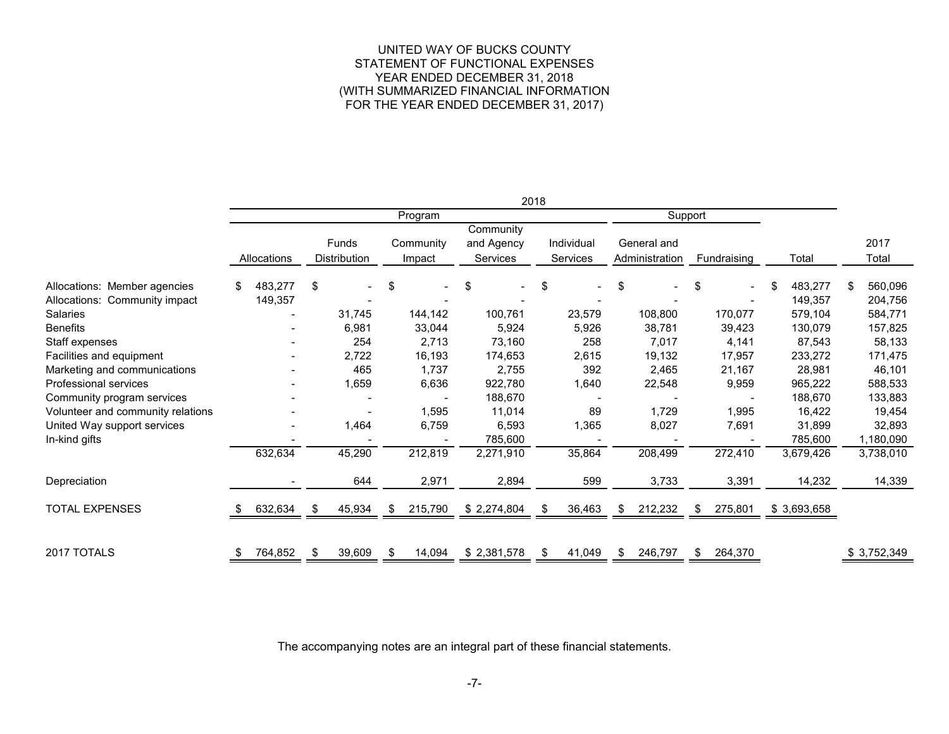#### UNITED WAY OF BUCKS COUNTY STATEMENT OF FUNCTIONAL EXPENSES YEAR ENDED DECEMBER 31, 2018 (WITH SUMMARIZED FINANCIAL INFORMATION FOR THE YEAR ENDED DECEMBER 31, 2017)

|                                                               |    |                          |    |                              |     |                     |                                            | 2018 |    |                        |                               |     |                 |    |                    |   |                     |
|---------------------------------------------------------------|----|--------------------------|----|------------------------------|-----|---------------------|--------------------------------------------|------|----|------------------------|-------------------------------|-----|-----------------|----|--------------------|---|---------------------|
|                                                               |    | Support<br>Program       |    |                              |     |                     |                                            |      |    |                        |                               |     |                 |    |                    |   |                     |
|                                                               |    | Allocations              |    | Funds<br><b>Distribution</b> |     | Community<br>Impact | Community<br>and Agency<br><b>Services</b> |      |    | Individual<br>Services | General and<br>Administration |     | Fundraising     |    | Total              |   | 2017<br>Total       |
| Allocations: Member agencies<br>Allocations: Community impact | .S | 483,277<br>149,357       | \$ |                              | \$  | $\blacksquare$      | \$                                         |      | \$ |                        | \$                            | \$  |                 | ß. | 483,277<br>149,357 | S | 560,096<br>204,756  |
| <b>Salaries</b>                                               |    | $\overline{\phantom{a}}$ |    | 31,745                       |     | 144,142             | 100,761                                    |      |    | 23,579                 | 108,800                       |     | 170,077         |    | 579,104            |   | 584,771             |
| <b>Benefits</b><br>Staff expenses                             |    |                          |    | 6,981<br>254                 |     | 33,044<br>2,713     | 5,924<br>73,160                            |      |    | 5,926<br>258           | 38,781<br>7,017               |     | 39,423<br>4,141 |    | 130,079<br>87,543  |   | 157,825<br>58,133   |
| Facilities and equipment                                      |    |                          |    | 2,722                        |     | 16,193              | 174,653                                    |      |    | 2,615                  | 19,132                        |     | 17,957          |    | 233,272            |   | 171,475             |
| Marketing and communications<br>Professional services         |    |                          |    | 465<br>1,659                 |     | 1,737<br>6,636      | 2,755<br>922,780                           |      |    | 392<br>1,640           | 2,465<br>22,548               |     | 21,167<br>9,959 |    | 28,981<br>965,222  |   | 46,101<br>588,533   |
| Community program services                                    |    |                          |    |                              |     |                     | 188,670                                    |      |    |                        |                               |     |                 |    | 188,670            |   | 133,883             |
| Volunteer and community relations                             |    |                          |    |                              |     | 1,595               | 11,014                                     |      |    | 89                     | 1,729                         |     | 1,995           |    | 16,422             |   | 19,454              |
| United Way support services<br>In-kind gifts                  |    |                          |    | 1,464                        |     | 6,759               | 6,593<br>785,600                           |      |    | 1,365                  | 8,027                         |     | 7,691           |    | 31,899<br>785,600  |   | 32,893<br>1,180,090 |
|                                                               |    | 632,634                  |    | 45,290                       |     | 212,819             | 2,271,910                                  |      |    | 35,864                 | 208,499                       |     | 272,410         |    | 3,679,426          |   | 3,738,010           |
| Depreciation                                                  |    |                          |    | 644                          |     | 2,971               | 2,894                                      |      |    | 599                    | 3,733                         |     | 3,391           |    | 14,232             |   | 14,339              |
| <b>TOTAL EXPENSES</b>                                         |    | 632,634                  | \$ | 45,934                       | \$  | 215,790             | \$2,274,804                                |      |    | 36,463                 | \$<br>212,232                 | \$  | 275,801         |    | \$3,693,658        |   |                     |
|                                                               |    |                          |    |                              |     |                     |                                            |      |    |                        |                               |     |                 |    |                    |   |                     |
| 2017 TOTALS                                                   |    | 764,852                  | \$ | 39,609                       | -SS | 14,094              | \$2,381,578                                |      | S. | 41,049                 | \$<br>246,797                 | \$. | 264,370         |    |                    |   | \$3,752,349         |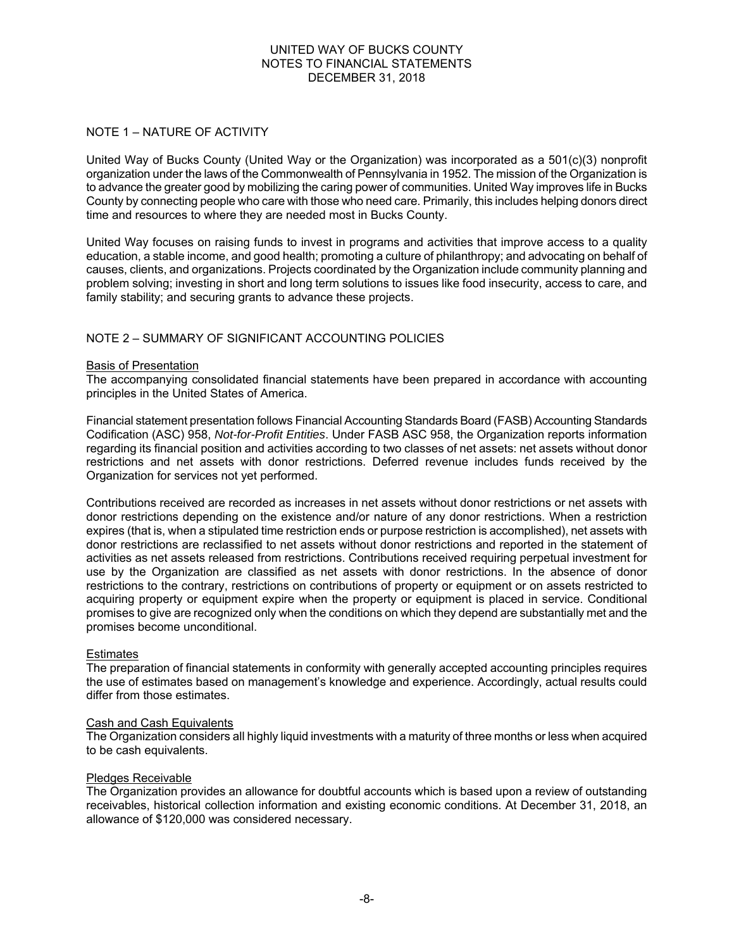### NOTE 1 – NATURE OF ACTIVITY

United Way of Bucks County (United Way or the Organization) was incorporated as a 501(c)(3) nonprofit organization under the laws of the Commonwealth of Pennsylvania in 1952. The mission of the Organization is to advance the greater good by mobilizing the caring power of communities. United Way improves life in Bucks County by connecting people who care with those who need care. Primarily, this includes helping donors direct time and resources to where they are needed most in Bucks County.

United Way focuses on raising funds to invest in programs and activities that improve access to a quality education, a stable income, and good health; promoting a culture of philanthropy; and advocating on behalf of causes, clients, and organizations. Projects coordinated by the Organization include community planning and problem solving; investing in short and long term solutions to issues like food insecurity, access to care, and family stability; and securing grants to advance these projects.

### NOTE 2 – SUMMARY OF SIGNIFICANT ACCOUNTING POLICIES

#### Basis of Presentation

The accompanying consolidated financial statements have been prepared in accordance with accounting principles in the United States of America.

Financial statement presentation follows Financial Accounting Standards Board (FASB) Accounting Standards Codification (ASC) 958, *Not-for-Profit Entities*. Under FASB ASC 958, the Organization reports information regarding its financial position and activities according to two classes of net assets: net assets without donor restrictions and net assets with donor restrictions. Deferred revenue includes funds received by the Organization for services not yet performed.

Contributions received are recorded as increases in net assets without donor restrictions or net assets with donor restrictions depending on the existence and/or nature of any donor restrictions. When a restriction expires (that is, when a stipulated time restriction ends or purpose restriction is accomplished), net assets with donor restrictions are reclassified to net assets without donor restrictions and reported in the statement of activities as net assets released from restrictions. Contributions received requiring perpetual investment for use by the Organization are classified as net assets with donor restrictions. In the absence of donor restrictions to the contrary, restrictions on contributions of property or equipment or on assets restricted to acquiring property or equipment expire when the property or equipment is placed in service. Conditional promises to give are recognized only when the conditions on which they depend are substantially met and the promises become unconditional.

#### **Estimates**

The preparation of financial statements in conformity with generally accepted accounting principles requires the use of estimates based on management's knowledge and experience. Accordingly, actual results could differ from those estimates.

#### Cash and Cash Equivalents

The Organization considers all highly liquid investments with a maturity of three months or less when acquired to be cash equivalents.

#### Pledges Receivable

The Organization provides an allowance for doubtful accounts which is based upon a review of outstanding receivables, historical collection information and existing economic conditions. At December 31, 2018, an allowance of \$120,000 was considered necessary.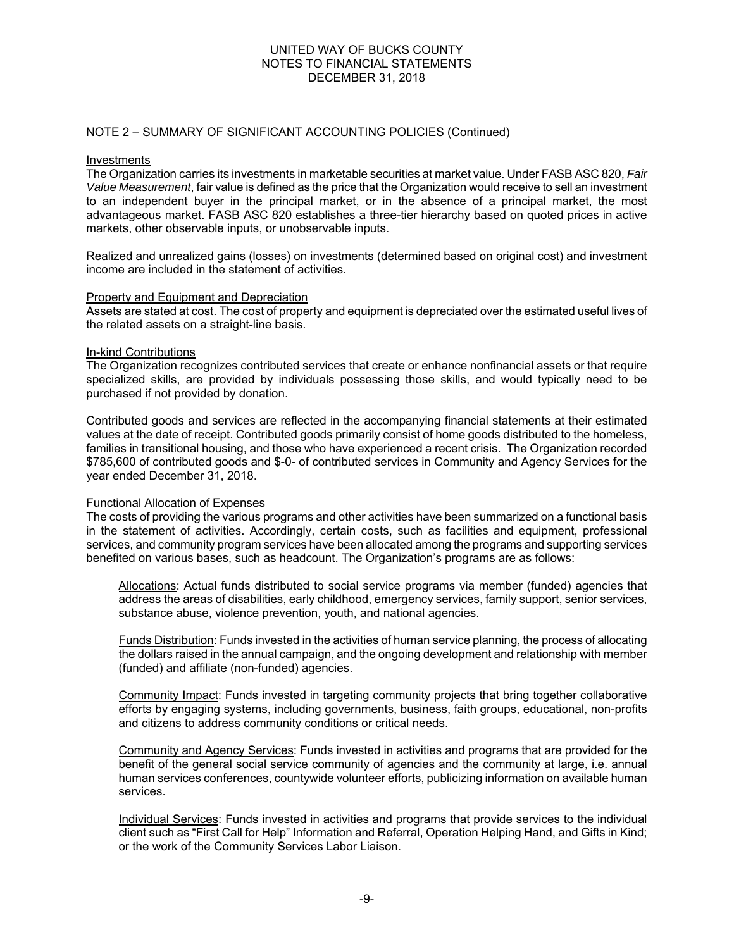#### NOTE 2 – SUMMARY OF SIGNIFICANT ACCOUNTING POLICIES (Continued)

#### Investments

The Organization carries its investments in marketable securities at market value. Under FASB ASC 820, *Fair Value Measurement*, fair value is defined as the price that the Organization would receive to sell an investment to an independent buyer in the principal market, or in the absence of a principal market, the most advantageous market. FASB ASC 820 establishes a three-tier hierarchy based on quoted prices in active markets, other observable inputs, or unobservable inputs.

Realized and unrealized gains (losses) on investments (determined based on original cost) and investment income are included in the statement of activities.

#### Property and Equipment and Depreciation

Assets are stated at cost. The cost of property and equipment is depreciated over the estimated useful lives of the related assets on a straight-line basis.

#### In-kind Contributions

The Organization recognizes contributed services that create or enhance nonfinancial assets or that require specialized skills, are provided by individuals possessing those skills, and would typically need to be purchased if not provided by donation.

Contributed goods and services are reflected in the accompanying financial statements at their estimated values at the date of receipt. Contributed goods primarily consist of home goods distributed to the homeless, families in transitional housing, and those who have experienced a recent crisis. The Organization recorded \$785,600 of contributed goods and \$-0- of contributed services in Community and Agency Services for the year ended December 31, 2018.

#### Functional Allocation of Expenses

The costs of providing the various programs and other activities have been summarized on a functional basis in the statement of activities. Accordingly, certain costs, such as facilities and equipment, professional services, and community program services have been allocated among the programs and supporting services benefited on various bases, such as headcount. The Organization's programs are as follows:

Allocations: Actual funds distributed to social service programs via member (funded) agencies that address the areas of disabilities, early childhood, emergency services, family support, senior services, substance abuse, violence prevention, youth, and national agencies.

Funds Distribution: Funds invested in the activities of human service planning, the process of allocating the dollars raised in the annual campaign, and the ongoing development and relationship with member (funded) and affiliate (non-funded) agencies.

Community Impact: Funds invested in targeting community projects that bring together collaborative efforts by engaging systems, including governments, business, faith groups, educational, non-profits and citizens to address community conditions or critical needs.

Community and Agency Services: Funds invested in activities and programs that are provided for the benefit of the general social service community of agencies and the community at large, i.e. annual human services conferences, countywide volunteer efforts, publicizing information on available human services.

Individual Services: Funds invested in activities and programs that provide services to the individual client such as "First Call for Help" Information and Referral, Operation Helping Hand, and Gifts in Kind; or the work of the Community Services Labor Liaison.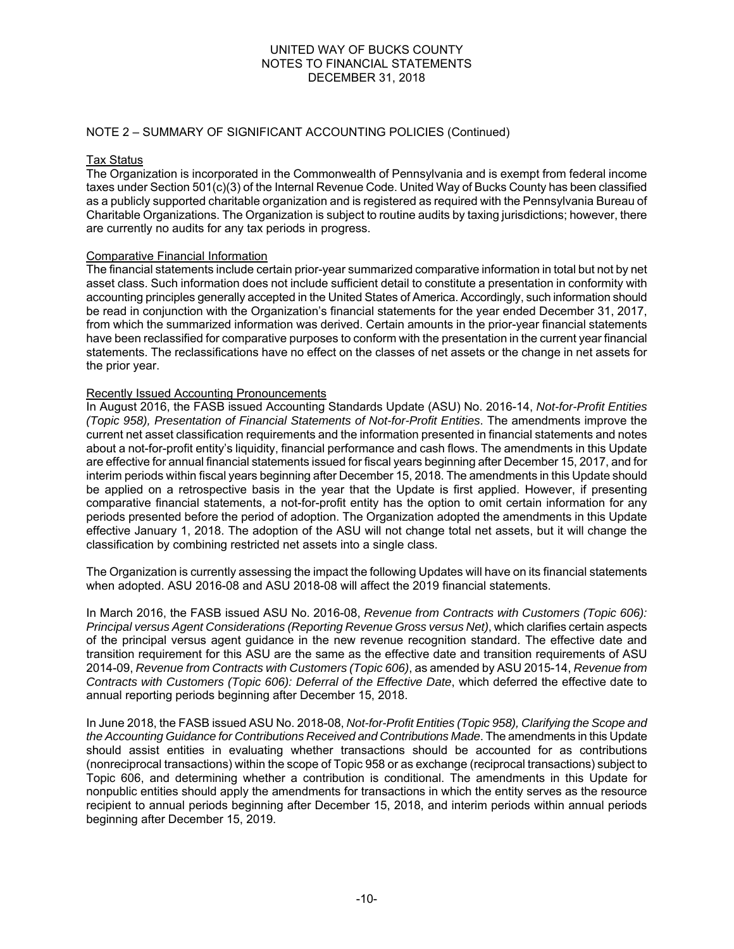#### NOTE 2 – SUMMARY OF SIGNIFICANT ACCOUNTING POLICIES (Continued)

#### Tax Status

The Organization is incorporated in the Commonwealth of Pennsylvania and is exempt from federal income taxes under Section 501(c)(3) of the Internal Revenue Code. United Way of Bucks County has been classified as a publicly supported charitable organization and is registered as required with the Pennsylvania Bureau of Charitable Organizations. The Organization is subject to routine audits by taxing jurisdictions; however, there are currently no audits for any tax periods in progress.

### Comparative Financial Information

The financial statements include certain prior-year summarized comparative information in total but not by net asset class. Such information does not include sufficient detail to constitute a presentation in conformity with accounting principles generally accepted in the United States of America. Accordingly, such information should be read in conjunction with the Organization's financial statements for the year ended December 31, 2017, from which the summarized information was derived. Certain amounts in the prior-year financial statements have been reclassified for comparative purposes to conform with the presentation in the current year financial statements. The reclassifications have no effect on the classes of net assets or the change in net assets for the prior year.

#### Recently Issued Accounting Pronouncements

In August 2016, the FASB issued Accounting Standards Update (ASU) No. 2016-14, *Not-for-Profit Entities (Topic 958), Presentation of Financial Statements of Not-for-Profit Entities*. The amendments improve the current net asset classification requirements and the information presented in financial statements and notes about a not-for-profit entity's liquidity, financial performance and cash flows. The amendments in this Update are effective for annual financial statements issued for fiscal years beginning after December 15, 2017, and for interim periods within fiscal years beginning after December 15, 2018. The amendments in this Update should be applied on a retrospective basis in the year that the Update is first applied. However, if presenting comparative financial statements, a not-for-profit entity has the option to omit certain information for any periods presented before the period of adoption. The Organization adopted the amendments in this Update effective January 1, 2018. The adoption of the ASU will not change total net assets, but it will change the classification by combining restricted net assets into a single class.

The Organization is currently assessing the impact the following Updates will have on its financial statements when adopted. ASU 2016-08 and ASU 2018-08 will affect the 2019 financial statements.

In March 2016, the FASB issued ASU No. 2016-08, *Revenue from Contracts with Customers (Topic 606): Principal versus Agent Considerations (Reporting Revenue Gross versus Net)*, which clarifies certain aspects of the principal versus agent guidance in the new revenue recognition standard. The effective date and transition requirement for this ASU are the same as the effective date and transition requirements of ASU 2014-09, *Revenue from Contracts with Customers (Topic 606)*, as amended by ASU 2015-14, *Revenue from Contracts with Customers (Topic 606): Deferral of the Effective Date*, which deferred the effective date to annual reporting periods beginning after December 15, 2018.

In June 2018, the FASB issued ASU No. 2018-08, *Not-for-Profit Entities (Topic 958), Clarifying the Scope and the Accounting Guidance for Contributions Received and Contributions Made*. The amendments in this Update should assist entities in evaluating whether transactions should be accounted for as contributions (nonreciprocal transactions) within the scope of Topic 958 or as exchange (reciprocal transactions) subject to Topic 606, and determining whether a contribution is conditional. The amendments in this Update for nonpublic entities should apply the amendments for transactions in which the entity serves as the resource recipient to annual periods beginning after December 15, 2018, and interim periods within annual periods beginning after December 15, 2019.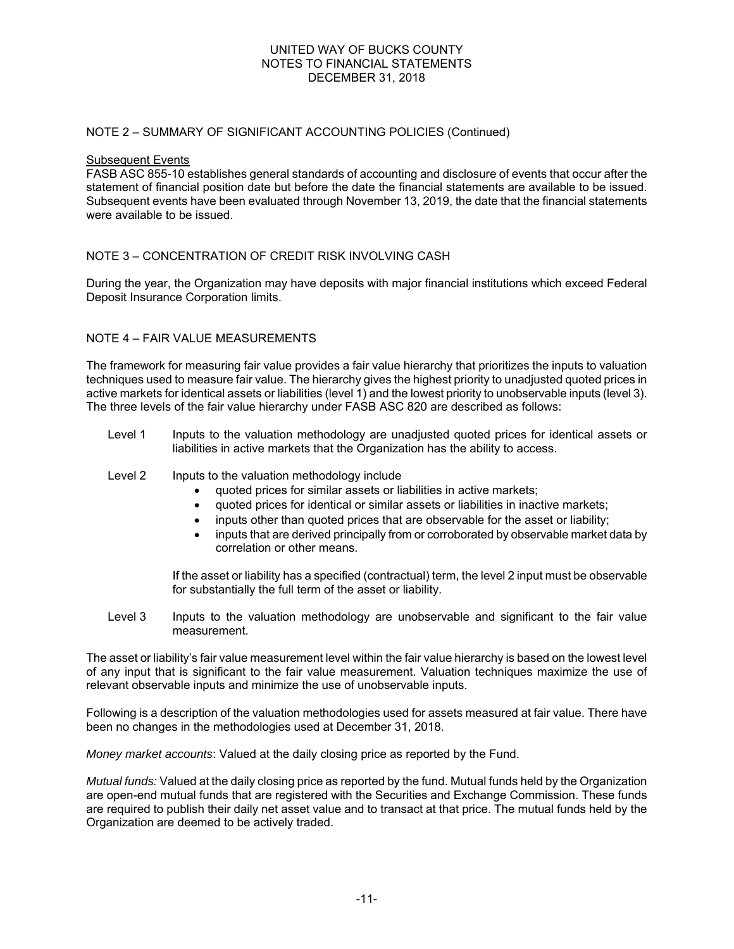#### NOTE 2 – SUMMARY OF SIGNIFICANT ACCOUNTING POLICIES (Continued)

#### Subsequent Events

FASB ASC 855-10 establishes general standards of accounting and disclosure of events that occur after the statement of financial position date but before the date the financial statements are available to be issued. Subsequent events have been evaluated through November 13, 2019, the date that the financial statements were available to be issued.

### NOTE 3 – CONCENTRATION OF CREDIT RISK INVOLVING CASH

During the year, the Organization may have deposits with major financial institutions which exceed Federal Deposit Insurance Corporation limits.

### NOTE 4 – FAIR VALUE MEASUREMENTS

The framework for measuring fair value provides a fair value hierarchy that prioritizes the inputs to valuation techniques used to measure fair value. The hierarchy gives the highest priority to unadjusted quoted prices in active markets for identical assets or liabilities (level 1) and the lowest priority to unobservable inputs (level 3). The three levels of the fair value hierarchy under FASB ASC 820 are described as follows:

- Level 1 Inputs to the valuation methodology are unadjusted quoted prices for identical assets or liabilities in active markets that the Organization has the ability to access.
- Level 2 Inputs to the valuation methodology include
	- quoted prices for similar assets or liabilities in active markets;
	- quoted prices for identical or similar assets or liabilities in inactive markets;
	- inputs other than quoted prices that are observable for the asset or liability;
	- inputs that are derived principally from or corroborated by observable market data by correlation or other means.

If the asset or liability has a specified (contractual) term, the level 2 input must be observable for substantially the full term of the asset or liability.

Level 3 Inputs to the valuation methodology are unobservable and significant to the fair value measurement.

The asset or liability's fair value measurement level within the fair value hierarchy is based on the lowest level of any input that is significant to the fair value measurement. Valuation techniques maximize the use of relevant observable inputs and minimize the use of unobservable inputs.

Following is a description of the valuation methodologies used for assets measured at fair value. There have been no changes in the methodologies used at December 31, 2018.

*Money market accounts*: Valued at the daily closing price as reported by the Fund.

*Mutual funds:* Valued at the daily closing price as reported by the fund. Mutual funds held by the Organization are open-end mutual funds that are registered with the Securities and Exchange Commission. These funds are required to publish their daily net asset value and to transact at that price. The mutual funds held by the Organization are deemed to be actively traded.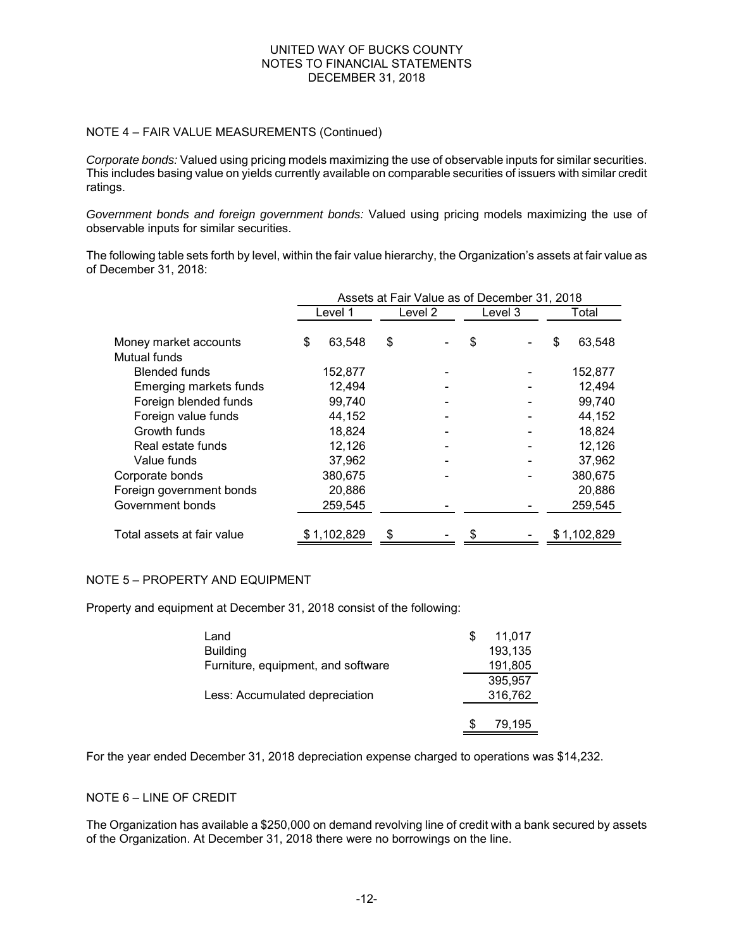### NOTE 4 – FAIR VALUE MEASUREMENTS (Continued)

*Corporate bonds:* Valued using pricing models maximizing the use of observable inputs for similar securities. This includes basing value on yields currently available on comparable securities of issuers with similar credit ratings.

*Government bonds and foreign government bonds:* Valued using pricing models maximizing the use of observable inputs for similar securities.

The following table sets forth by level, within the fair value hierarchy, the Organization's assets at fair value as of December 31, 2018:

| Assets at Fair Value as of December 31, 2018 |         |                        |  |         |  |         |             |  |
|----------------------------------------------|---------|------------------------|--|---------|--|---------|-------------|--|
|                                              |         |                        |  |         |  | Total   |             |  |
|                                              |         |                        |  |         |  |         |             |  |
| \$                                           | 63,548  | \$                     |  | \$      |  | S       | 63,548      |  |
|                                              |         |                        |  |         |  |         |             |  |
|                                              | 152,877 |                        |  |         |  |         | 152,877     |  |
|                                              | 12,494  |                        |  |         |  |         | 12,494      |  |
|                                              | 99,740  |                        |  |         |  |         | 99,740      |  |
|                                              | 44,152  |                        |  |         |  |         | 44,152      |  |
|                                              | 18,824  |                        |  |         |  |         | 18.824      |  |
|                                              | 12,126  |                        |  |         |  |         | 12,126      |  |
|                                              | 37,962  |                        |  |         |  |         | 37,962      |  |
|                                              | 380,675 |                        |  |         |  |         | 380,675     |  |
|                                              | 20,886  |                        |  |         |  |         | 20,886      |  |
|                                              | 259,545 |                        |  |         |  |         | 259,545     |  |
|                                              |         |                        |  |         |  |         |             |  |
|                                              |         |                        |  |         |  |         | \$1,102,829 |  |
|                                              |         | Level 1<br>\$1,102,829 |  | Level 2 |  | Level 3 |             |  |

## NOTE 5 – PROPERTY AND EQUIPMENT

Property and equipment at December 31, 2018 consist of the following:

| Land                               | S | 11,017  |
|------------------------------------|---|---------|
| <b>Building</b>                    |   | 193,135 |
| Furniture, equipment, and software |   | 191,805 |
|                                    |   | 395,957 |
| Less: Accumulated depreciation     |   | 316,762 |
|                                    |   |         |
|                                    |   | 79.195  |

 For the year ended December 31, 2018 depreciation expense charged to operations was \$14,232.

#### NOTE 6 – LINE OF CREDIT

The Organization has available a \$250,000 on demand revolving line of credit with a bank secured by assets of the Organization. At December 31, 2018 there were no borrowings on the line.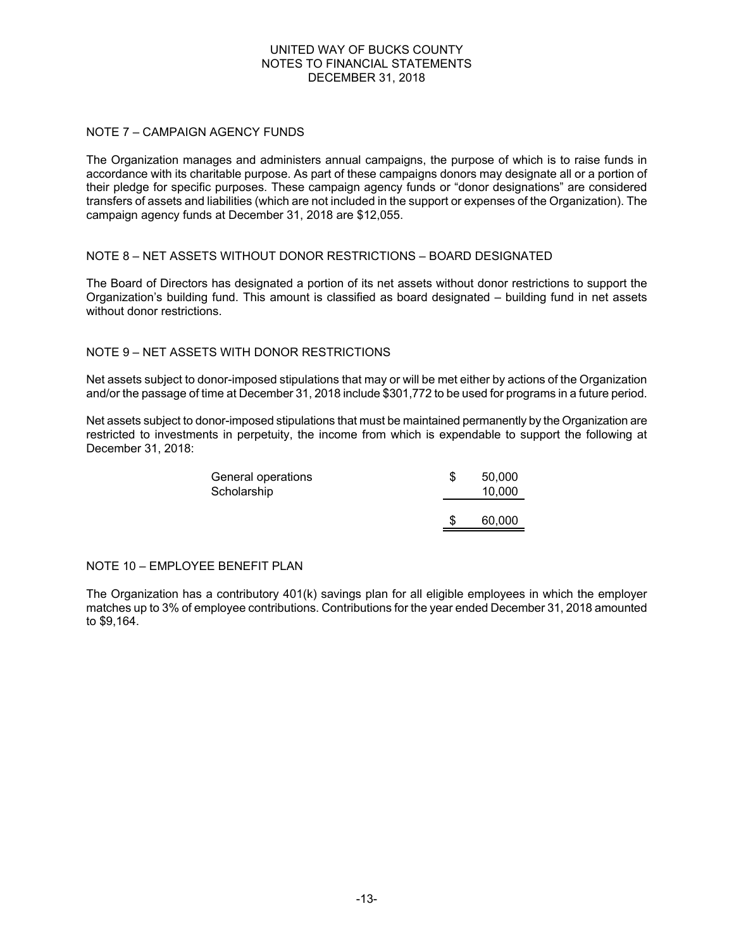### NOTE 7 – CAMPAIGN AGENCY FUNDS

The Organization manages and administers annual campaigns, the purpose of which is to raise funds in accordance with its charitable purpose. As part of these campaigns donors may designate all or a portion of their pledge for specific purposes. These campaign agency funds or "donor designations" are considered transfers of assets and liabilities (which are not included in the support or expenses of the Organization). The campaign agency funds at December 31, 2018 are \$12,055.

### NOTE 8 – NET ASSETS WITHOUT DONOR RESTRICTIONS – BOARD DESIGNATED

The Board of Directors has designated a portion of its net assets without donor restrictions to support the Organization's building fund. This amount is classified as board designated – building fund in net assets without donor restrictions.

### NOTE 9 – NET ASSETS WITH DONOR RESTRICTIONS

Net assets subject to donor-imposed stipulations that may or will be met either by actions of the Organization and/or the passage of time at December 31, 2018 include \$301,772 to be used for programs in a future period.

Net assets subject to donor-imposed stipulations that must be maintained permanently by the Organization are restricted to investments in perpetuity, the income from which is expendable to support the following at December 31, 2018:

| General operations | 50,000 |
|--------------------|--------|
| Scholarship        | 10,000 |
|                    |        |
|                    | 60,000 |

### NOTE 10 – EMPLOYEE BENEFIT PLAN

The Organization has a contributory 401(k) savings plan for all eligible employees in which the employer matches up to 3% of employee contributions. Contributions for the year ended December 31, 2018 amounted to \$9,164.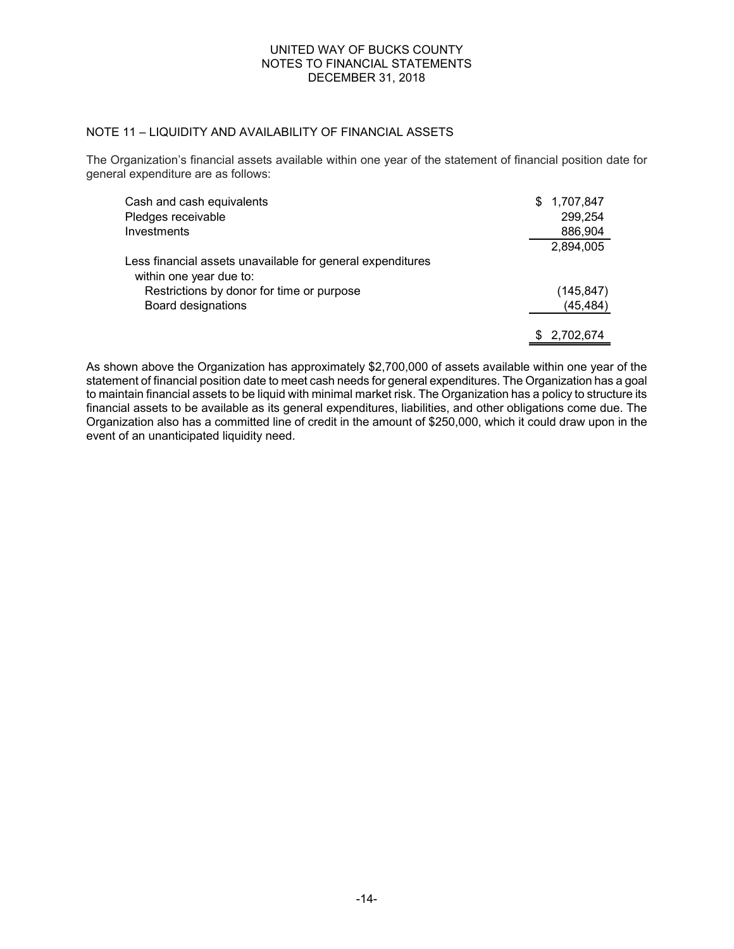# NOTE 11 – LIQUIDITY AND AVAILABILITY OF FINANCIAL ASSETS

The Organization's financial assets available within one year of the statement of financial position date for general expenditure are as follows:

| Cash and cash equivalents                                                             | 1,707,847    |
|---------------------------------------------------------------------------------------|--------------|
| Pledges receivable                                                                    | 299,254      |
| Investments                                                                           | 886,904      |
|                                                                                       | 2,894,005    |
| Less financial assets unavailable for general expenditures<br>within one year due to: |              |
| Restrictions by donor for time or purpose                                             | (145, 847)   |
| Board designations                                                                    | (45, 484)    |
|                                                                                       | \$ 2,702,674 |

As shown above the Organization has approximately \$2,700,000 of assets available within one year of the statement of financial position date to meet cash needs for general expenditures. The Organization has a goal to maintain financial assets to be liquid with minimal market risk. The Organization has a policy to structure its financial assets to be available as its general expenditures, liabilities, and other obligations come due. The Organization also has a committed line of credit in the amount of \$250,000, which it could draw upon in the event of an unanticipated liquidity need.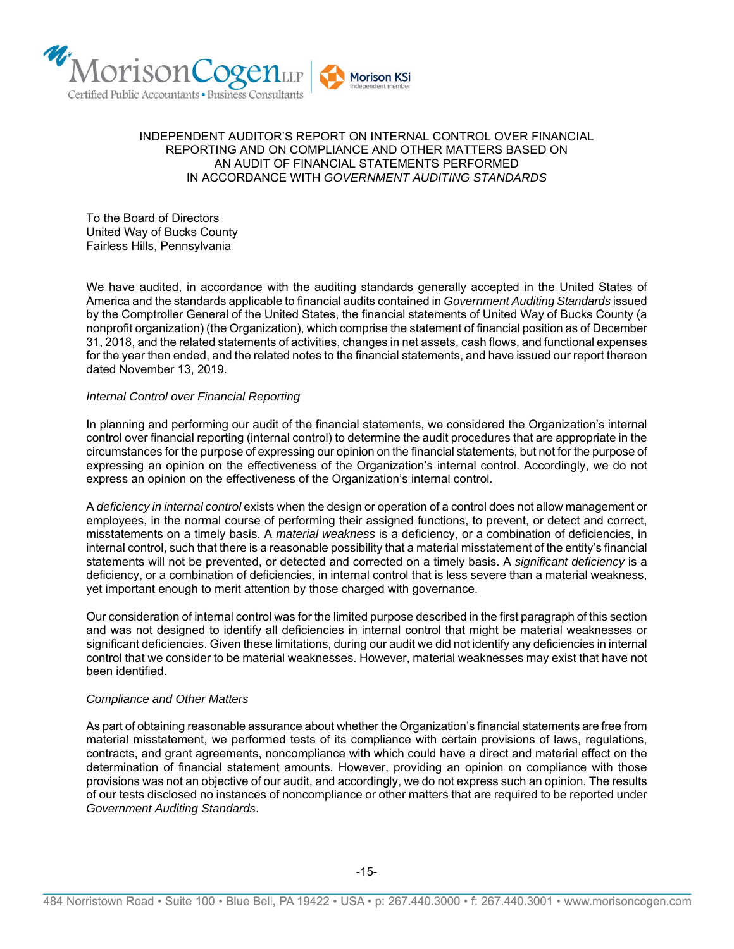

#### INDEPENDENT AUDITOR'S REPORT ON INTERNAL CONTROL OVER FINANCIAL REPORTING AND ON COMPLIANCE AND OTHER MATTERS BASED ON AN AUDIT OF FINANCIAL STATEMENTS PERFORMED IN ACCORDANCE WITH *GOVERNMENT AUDITING STANDARDS*

To the Board of Directors United Way of Bucks County Fairless Hills, Pennsylvania

We have audited, in accordance with the auditing standards generally accepted in the United States of America and the standards applicable to financial audits contained in *Government Auditing Standards* issued by the Comptroller General of the United States, the financial statements of United Way of Bucks County (a nonprofit organization) (the Organization), which comprise the statement of financial position as of December 31, 2018, and the related statements of activities, changes in net assets, cash flows, and functional expenses for the year then ended, and the related notes to the financial statements, and have issued our report thereon dated November 13, 2019.

#### *Internal Control over Financial Reporting*

In planning and performing our audit of the financial statements, we considered the Organization's internal control over financial reporting (internal control) to determine the audit procedures that are appropriate in the circumstances for the purpose of expressing our opinion on the financial statements, but not for the purpose of expressing an opinion on the effectiveness of the Organization's internal control. Accordingly, we do not express an opinion on the effectiveness of the Organization's internal control.

A *deficiency in internal control* exists when the design or operation of a control does not allow management or employees, in the normal course of performing their assigned functions, to prevent, or detect and correct, misstatements on a timely basis. A *material weakness* is a deficiency, or a combination of deficiencies, in internal control, such that there is a reasonable possibility that a material misstatement of the entity's financial statements will not be prevented, or detected and corrected on a timely basis. A *significant deficiency* is a deficiency, or a combination of deficiencies, in internal control that is less severe than a material weakness, yet important enough to merit attention by those charged with governance.

Our consideration of internal control was for the limited purpose described in the first paragraph of this section and was not designed to identify all deficiencies in internal control that might be material weaknesses or significant deficiencies. Given these limitations, during our audit we did not identify any deficiencies in internal control that we consider to be material weaknesses. However, material weaknesses may exist that have not been identified.

#### *Compliance and Other Matters*

As part of obtaining reasonable assurance about whether the Organization's financial statements are free from material misstatement, we performed tests of its compliance with certain provisions of laws, regulations, contracts, and grant agreements, noncompliance with which could have a direct and material effect on the determination of financial statement amounts. However, providing an opinion on compliance with those provisions was not an objective of our audit, and accordingly, we do not express such an opinion. The results of our tests disclosed no instances of noncompliance or other matters that are required to be reported under *Government Auditing Standards*.